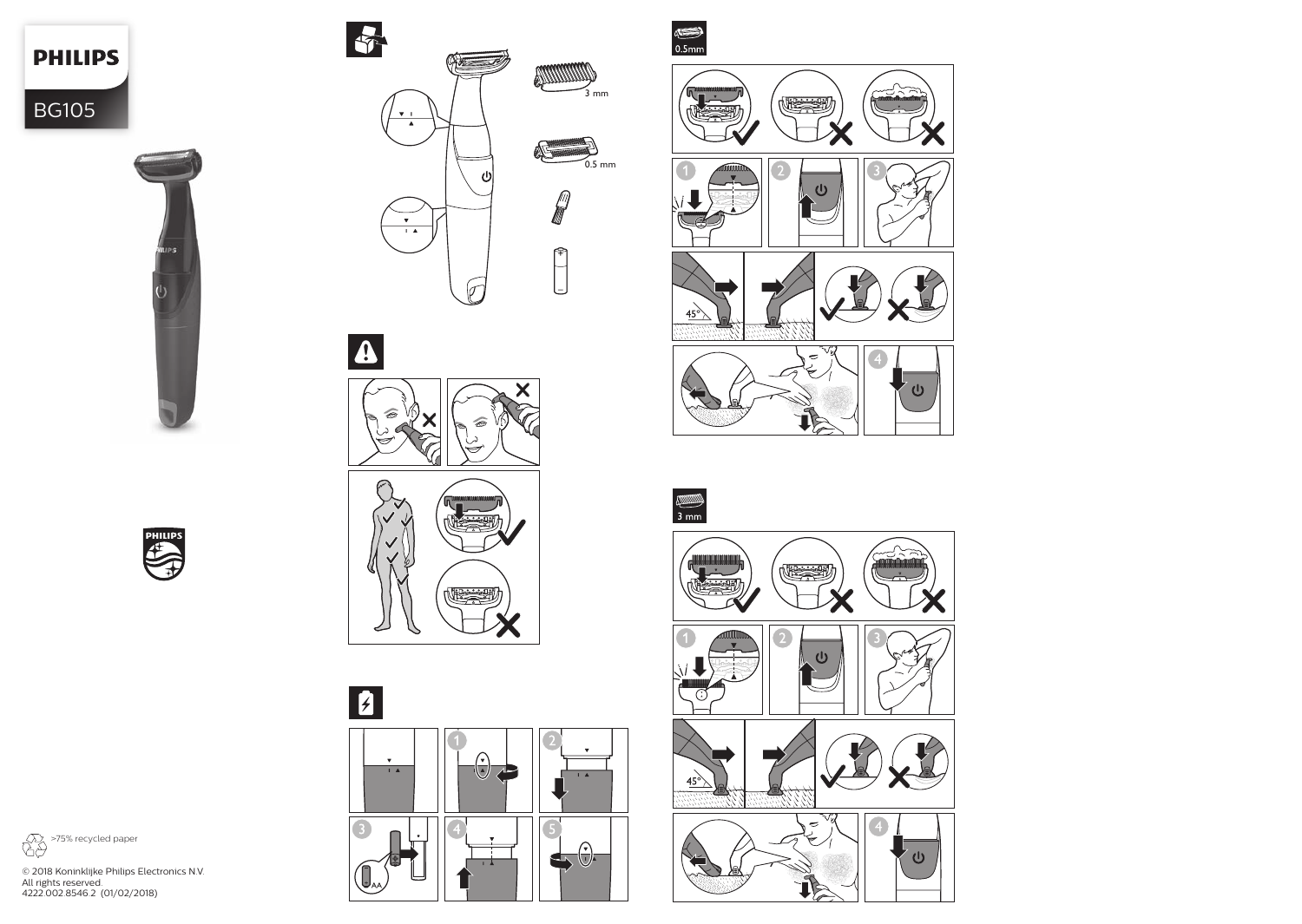**PHILIPS** 

BG105

















>75% recycled paper

© 2018 Koninklijke Philips Electronics N.V. All rights reserved. 4222.002.8546.2 (01/02/2018)